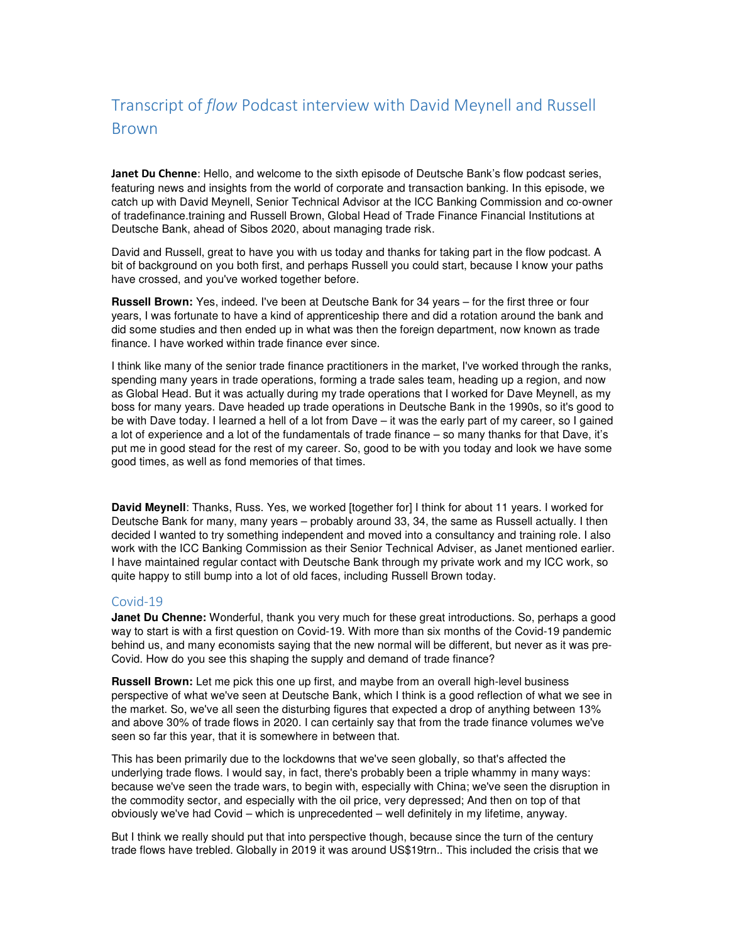# Transcript of *flow* Podcast interview with David Meynell and Russell Brown

**Janet Du Chenne**: Hello, and welcome to the sixth episode of Deutsche Bank's flow podcast series, featuring news and insights from the world of corporate and transaction banking. In this episode, we catch up with David Meynell, Senior Technical Advisor at the ICC Banking Commission and co-owner of tradefinance.training and Russell Brown, Global Head of Trade Finance Financial Institutions at Deutsche Bank, ahead of Sibos 2020, about managing trade risk.

David and Russell, great to have you with us today and thanks for taking part in the flow podcast. A bit of background on you both first, and perhaps Russell you could start, because I know your paths have crossed, and you've worked together before.

**Russell Brown:** Yes, indeed. I've been at Deutsche Bank for 34 years – for the first three or four years, I was fortunate to have a kind of apprenticeship there and did a rotation around the bank and did some studies and then ended up in what was then the foreign department, now known as trade finance. I have worked within trade finance ever since.

I think like many of the senior trade finance practitioners in the market, I've worked through the ranks, spending many years in trade operations, forming a trade sales team, heading up a region, and now as Global Head. But it was actually during my trade operations that I worked for Dave Meynell, as my boss for many years. Dave headed up trade operations in Deutsche Bank in the 1990s, so it's good to be with Dave today. I learned a hell of a lot from Dave – it was the early part of my career, so I gained a lot of experience and a lot of the fundamentals of trade finance – so many thanks for that Dave, it's put me in good stead for the rest of my career. So, good to be with you today and look we have some good times, as well as fond memories of that times.

**David Meynell**: Thanks, Russ. Yes, we worked [together for] I think for about 11 years. I worked for Deutsche Bank for many, many years – probably around 33, 34, the same as Russell actually. I then decided I wanted to try something independent and moved into a consultancy and training role. I also work with the ICC Banking Commission as their Senior Technical Adviser, as Janet mentioned earlier. I have maintained regular contact with Deutsche Bank through my private work and my ICC work, so quite happy to still bump into a lot of old faces, including Russell Brown today.

#### Covid-19

**Janet Du Chenne:** Wonderful, thank you very much for these great introductions. So, perhaps a good way to start is with a first question on Covid-19. With more than six months of the Covid-19 pandemic behind us, and many economists saying that the new normal will be different, but never as it was pre-Covid. How do you see this shaping the supply and demand of trade finance?

**Russell Brown:** Let me pick this one up first, and maybe from an overall high-level business perspective of what we've seen at Deutsche Bank, which I think is a good reflection of what we see in the market. So, we've all seen the disturbing figures that expected a drop of anything between 13% and above 30% of trade flows in 2020. I can certainly say that from the trade finance volumes we've seen so far this year, that it is somewhere in between that.

This has been primarily due to the lockdowns that we've seen globally, so that's affected the underlying trade flows. I would say, in fact, there's probably been a triple whammy in many ways: because we've seen the trade wars, to begin with, especially with China; we've seen the disruption in the commodity sector, and especially with the oil price, very depressed; And then on top of that obviously we've had Covid – which is unprecedented – well definitely in my lifetime, anyway.

But I think we really should put that into perspective though, because since the turn of the century trade flows have trebled. Globally in 2019 it was around US\$19trn.. This included the crisis that we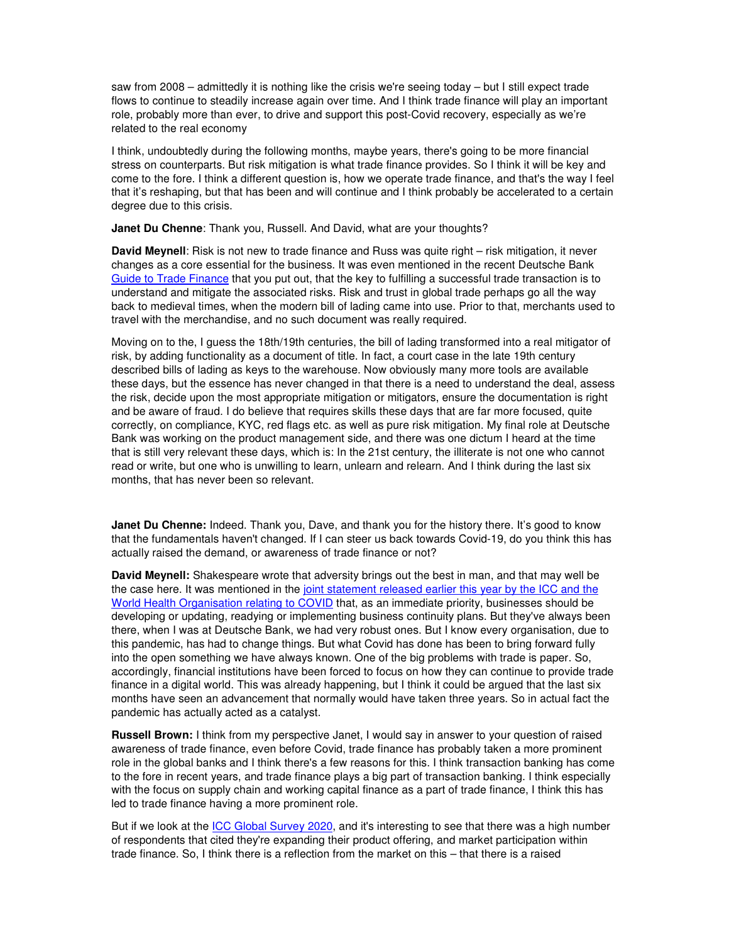saw from 2008 – admittedly it is nothing like the crisis we're seeing today – but I still expect trade flows to continue to steadily increase again over time. And I think trade finance will play an important role, probably more than ever, to drive and support this post-Covid recovery, especially as we're related to the real economy

I think, undoubtedly during the following months, maybe years, there's going to be more financial stress on counterparts. But risk mitigation is what trade finance provides. So I think it will be key and come to the fore. I think a different question is, how we operate trade finance, and that's the way I feel that it's reshaping, but that has been and will continue and I think probably be accelerated to a certain degree due to this crisis.

**Janet Du Chenne**: Thank you, Russell. And David, what are your thoughts?

**David Meynell**: Risk is not new to trade finance and Russ was quite right – risk mitigation, it never changes as a core essential for the business. It was even mentioned in the recent Deutsche Bank Guide to Trade Finance that you put out, that the key to fulfilling a successful trade transaction is to understand and mitigate the associated risks. Risk and trust in global trade perhaps go all the way back to medieval times, when the modern bill of lading came into use. Prior to that, merchants used to travel with the merchandise, and no such document was really required.

Moving on to the, I guess the 18th/19th centuries, the bill of lading transformed into a real mitigator of risk, by adding functionality as a document of title. In fact, a court case in the late 19th century described bills of lading as keys to the warehouse. Now obviously many more tools are available these days, but the essence has never changed in that there is a need to understand the deal, assess the risk, decide upon the most appropriate mitigation or mitigators, ensure the documentation is right and be aware of fraud. I do believe that requires skills these days that are far more focused, quite correctly, on compliance, KYC, red flags etc. as well as pure risk mitigation. My final role at Deutsche Bank was working on the product management side, and there was one dictum I heard at the time that is still very relevant these days, which is: In the 21st century, the illiterate is not one who cannot read or write, but one who is unwilling to learn, unlearn and relearn. And I think during the last six months, that has never been so relevant.

**Janet Du Chenne:** Indeed. Thank you, Dave, and thank you for the history there. It's good to know that the fundamentals haven't changed. If I can steer us back towards Covid-19, do you think this has actually raised the demand, or awareness of trade finance or not?

**David Meynell:** Shakespeare wrote that adversity brings out the best in man, and that may well be the case here. It was mentioned in the joint statement released earlier this year by the ICC and the World Health Organisation relating to COVID that, as an immediate priority, businesses should be developing or updating, readying or implementing business continuity plans. But they've always been there, when I was at Deutsche Bank, we had very robust ones. But I know every organisation, due to this pandemic, has had to change things. But what Covid has done has been to bring forward fully into the open something we have always known. One of the big problems with trade is paper. So, accordingly, financial institutions have been forced to focus on how they can continue to provide trade finance in a digital world. This was already happening, but I think it could be argued that the last six months have seen an advancement that normally would have taken three years. So in actual fact the pandemic has actually acted as a catalyst.

**Russell Brown:** I think from my perspective Janet, I would say in answer to your question of raised awareness of trade finance, even before Covid, trade finance has probably taken a more prominent role in the global banks and I think there's a few reasons for this. I think transaction banking has come to the fore in recent years, and trade finance plays a big part of transaction banking. I think especially with the focus on supply chain and working capital finance as a part of trade finance, I think this has led to trade finance having a more prominent role.

But if we look at the ICC Global Survey 2020, and it's interesting to see that there was a high number of respondents that cited they're expanding their product offering, and market participation within trade finance. So, I think there is a reflection from the market on this – that there is a raised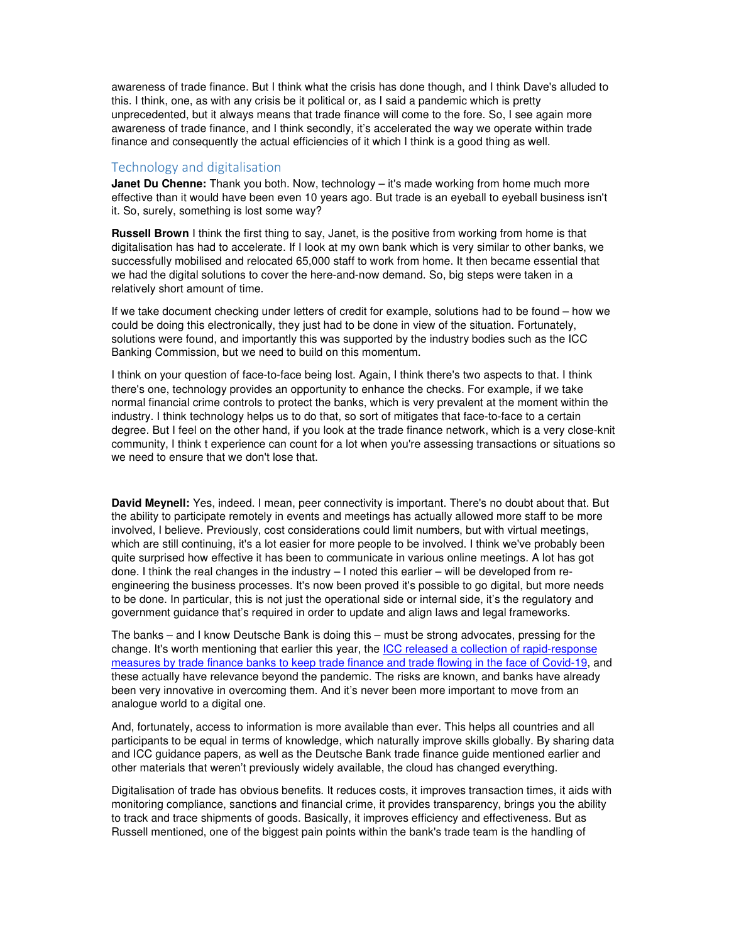awareness of trade finance. But I think what the crisis has done though, and I think Dave's alluded to this. I think, one, as with any crisis be it political or, as I said a pandemic which is pretty unprecedented, but it always means that trade finance will come to the fore. So, I see again more awareness of trade finance, and I think secondly, it's accelerated the way we operate within trade finance and consequently the actual efficiencies of it which I think is a good thing as well.

#### Technology and digitalisation

**Janet Du Chenne:** Thank you both. Now, technology – it's made working from home much more effective than it would have been even 10 years ago. But trade is an eyeball to eyeball business isn't it. So, surely, something is lost some way?

**Russell Brown** I think the first thing to say, Janet, is the positive from working from home is that digitalisation has had to accelerate. If I look at my own bank which is very similar to other banks, we successfully mobilised and relocated 65,000 staff to work from home. It then became essential that we had the digital solutions to cover the here-and-now demand. So, big steps were taken in a relatively short amount of time.

If we take document checking under letters of credit for example, solutions had to be found – how we could be doing this electronically, they just had to be done in view of the situation. Fortunately, solutions were found, and importantly this was supported by the industry bodies such as the ICC Banking Commission, but we need to build on this momentum.

I think on your question of face-to-face being lost. Again, I think there's two aspects to that. I think there's one, technology provides an opportunity to enhance the checks. For example, if we take normal financial crime controls to protect the banks, which is very prevalent at the moment within the industry. I think technology helps us to do that, so sort of mitigates that face-to-face to a certain degree. But I feel on the other hand, if you look at the trade finance network, which is a very close-knit community, I think t experience can count for a lot when you're assessing transactions or situations so we need to ensure that we don't lose that.

**David Meynell:** Yes, indeed. I mean, peer connectivity is important. There's no doubt about that. But the ability to participate remotely in events and meetings has actually allowed more staff to be more involved, I believe. Previously, cost considerations could limit numbers, but with virtual meetings, which are still continuing, it's a lot easier for more people to be involved. I think we've probably been quite surprised how effective it has been to communicate in various online meetings. A lot has got done. I think the real changes in the industry – I noted this earlier – will be developed from reengineering the business processes. It's now been proved it's possible to go digital, but more needs to be done. In particular, this is not just the operational side or internal side, it's the regulatory and government guidance that's required in order to update and align laws and legal frameworks.

The banks – and I know Deutsche Bank is doing this – must be strong advocates, pressing for the change. It's worth mentioning that earlier this year, the ICC released a collection of rapid-response measures by trade finance banks to keep trade finance and trade flowing in the face of Covid-19, and these actually have relevance beyond the pandemic. The risks are known, and banks have already been very innovative in overcoming them. And it's never been more important to move from an analogue world to a digital one.

And, fortunately, access to information is more available than ever. This helps all countries and all participants to be equal in terms of knowledge, which naturally improve skills globally. By sharing data and ICC guidance papers, as well as the Deutsche Bank trade finance guide mentioned earlier and other materials that weren't previously widely available, the cloud has changed everything.

Digitalisation of trade has obvious benefits. It reduces costs, it improves transaction times, it aids with monitoring compliance, sanctions and financial crime, it provides transparency, brings you the ability to track and trace shipments of goods. Basically, it improves efficiency and effectiveness. But as Russell mentioned, one of the biggest pain points within the bank's trade team is the handling of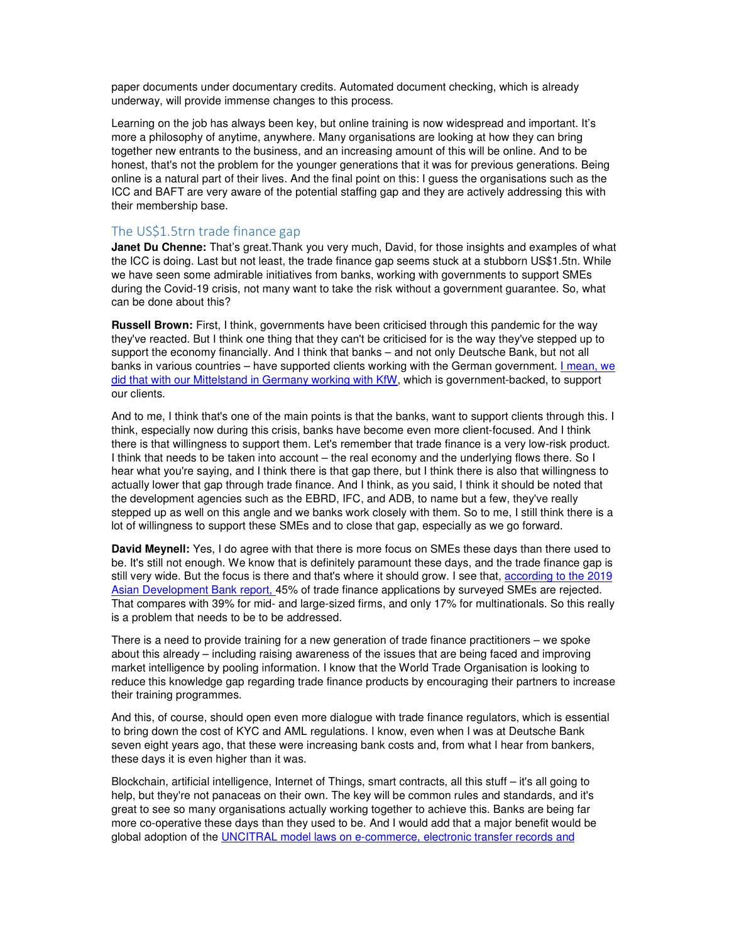paper documents under documentary credits. Automated document checking, which is already underway, will provide immense changes to this process.

Learning on the job has always been key, but online training is now widespread and important. It's more a philosophy of anytime, anywhere. Many organisations are looking at how they can bring together new entrants to the business, and an increasing amount of this will be online. And to be honest, that's not the problem for the younger generations that it was for previous generations. Being online is a natural part of their lives. And the final point on this: I guess the organisations such as the ICC and BAFT are very aware of the potential staffing gap and they are actively addressing this with their membership base.

## The US\$1.5trn trade finance gap

**Janet Du Chenne:** That's great.Thank you very much, David, for those insights and examples of what the ICC is doing. Last but not least, the trade finance gap seems stuck at a stubborn US\$1.5tn. While we have seen some admirable initiatives from banks, working with governments to support SMEs during the Covid-19 crisis, not many want to take the risk without a government guarantee. So, what can be done about this?

**Russell Brown:** First, I think, governments have been criticised through this pandemic for the way they've reacted. But I think one thing that they can't be criticised for is the way they've stepped up to support the economy financially. And I think that banks – and not only Deutsche Bank, but not all banks in various countries – have supported clients working with the German government. I mean, we did that with our Mittelstand in Germany working with KfW, which is government-backed, to support our clients.

And to me, I think that's one of the main points is that the banks, want to support clients through this. I think, especially now during this crisis, banks have become even more client-focused. And I think there is that willingness to support them. Let's remember that trade finance is a very low-risk product. I think that needs to be taken into account – the real economy and the underlying flows there. So I hear what you're saying, and I think there is that gap there, but I think there is also that willingness to actually lower that gap through trade finance. And I think, as you said, I think it should be noted that the development agencies such as the EBRD, IFC, and ADB, to name but a few, they've really stepped up as well on this angle and we banks work closely with them. So to me, I still think there is a lot of willingness to support these SMEs and to close that gap, especially as we go forward.

**David Meynell:** Yes, I do agree with that there is more focus on SMEs these days than there used to be. It's still not enough. We know that is definitely paramount these days, and the trade finance gap is still very wide. But the focus is there and that's where it should grow. I see that, according to the 2019 Asian Development Bank report, 45% of trade finance applications by surveyed SMEs are rejected. That compares with 39% for mid- and large-sized firms, and only 17% for multinationals. So this really is a problem that needs to be to be addressed.

There is a need to provide training for a new generation of trade finance practitioners – we spoke about this already – including raising awareness of the issues that are being faced and improving market intelligence by pooling information. I know that the World Trade Organisation is looking to reduce this knowledge gap regarding trade finance products by encouraging their partners to increase their training programmes.

And this, of course, should open even more dialogue with trade finance regulators, which is essential to bring down the cost of KYC and AML regulations. I know, even when I was at Deutsche Bank seven eight years ago, that these were increasing bank costs and, from what I hear from bankers, these days it is even higher than it was.

Blockchain, artificial intelligence, Internet of Things, smart contracts, all this stuff – it's all going to help, but they're not panaceas on their own. The key will be common rules and standards, and it's great to see so many organisations actually working together to achieve this. Banks are being far more co-operative these days than they used to be. And I would add that a major benefit would be global adoption of the UNCITRAL model laws on e-commerce, electronic transfer records and